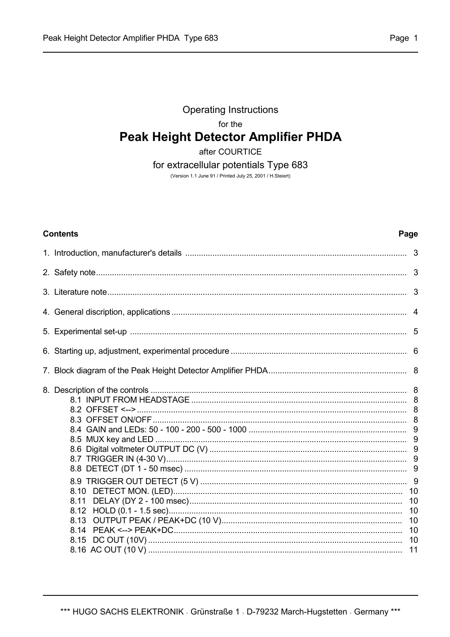# **Operating Instructions** for the **Peak Height Detector Amplifier PHDA**

after COURTICE

# for extracellular potentials Type 683

(Version 1.1 June 91 / Printed July 25, 2001 / H.Steiert)

#### **Contents**

# Page

| 8.11<br>8.12         |  |
|----------------------|--|
| 8.13<br>8.14<br>8.15 |  |
|                      |  |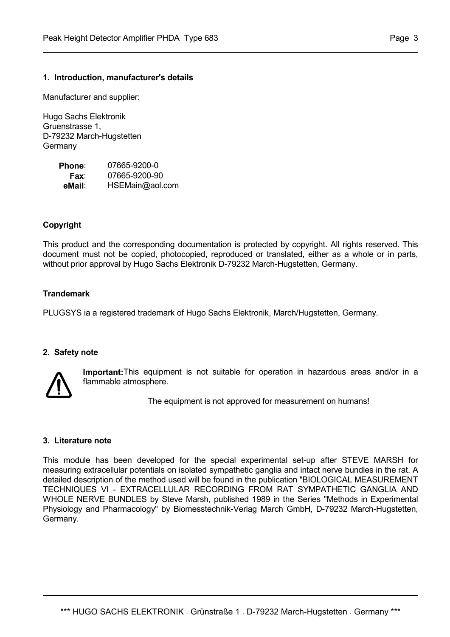#### **1. Introduction, manufacturer's details**

Manufacturer and supplier:

Hugo Sachs Elektronik Gruenstrasse 1, D-79232 March-Hugstetten **Germany** 

| Phone: | 07665-9200-0    |
|--------|-----------------|
| Fax:   | 07665-9200-90   |
| eMail: | HSEMain@aol.com |

#### **Copyright**

This product and the corresponding documentation is protected by copyright. All rights reserved. This document must not be copied, photocopied, reproduced or translated, either as a whole or in parts, without prior approval by Hugo Sachs Elektronik D-79232 March-Hugstetten, Germany.

# **Trandemark**

PLUGSYS ia a registered trademark of Hugo Sachs Elektronik, March/Hugstetten, Germany.

#### **2. Safety note**



**Important:**This equipment is not suitable for operation in hazardous areas and/or in a flammable atmosphere.

The equipment is not approved for measurement on humans!

#### **3. Literature note**

This module has been developed for the special experimental set-up after STEVE MARSH for measuring extracellular potentials on isolated sympathetic ganglia and intact nerve bundles in the rat. A detailed description of the method used will be found in the publication "BIOLOGICAL MEASUREMENT TECHNIQUES VI - EXTRACELLULAR RECORDING FROM RAT SYMPATHETIC GANGLIA AND WHOLE NERVE BUNDLES by Steve Marsh, published 1989 in the Series "Methods in Experimental Physiology and Pharmacology" by Biomesstechnik-Verlag March GmbH, D-79232 March-Hugstetten, Germany.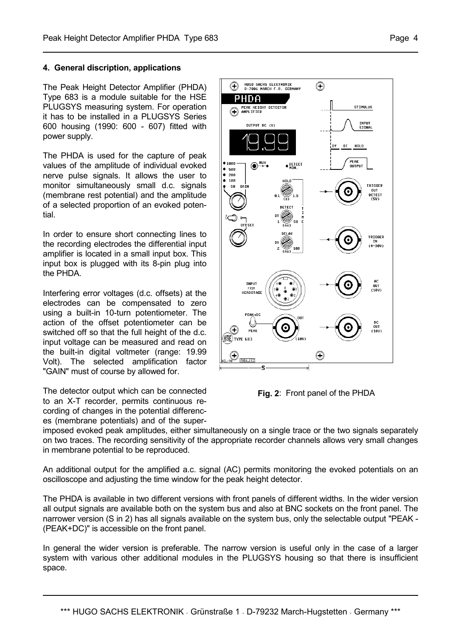#### **4. General discription, applications**

The Peak Height Detector Amplifier (PHDA) Type 683 is a module suitable for the HSE PLUGSYS measuring system. For operation it has to be installed in a PLUGSYS Series 600 housing (1990: 600 - 607) fitted with power supply.

The PHDA is used for the capture of peak values of the amplitude of individual evoked nerve pulse signals. It allows the user to monitor simultaneously small d.c. signals (membrane rest potential) and the amplitude of a selected proportion of an evoked potential.

In order to ensure short connecting lines to the recording electrodes the differential input amplifier is located in a small input box. This input box is plugged with its 8-pin plug into the PHDA.

Interfering error voltages (d.c. offsets) at the electrodes can be compensated to zero using a built-in 10-turn potentiometer. The action of the offset potentiometer can be switched off so that the full height of the d.c. input voltage can be measured and read on the built-in digital voltmeter (range: 19.99 Volt). The selected amplification factor "GAIN" must of course by allowed for.

The detector output which can be connected to an X-T recorder, permits continuous recording of changes in the potential differences (membrane potentials) and of the super-



**Fig. 2**: Front panel of the PHDA

imposed evoked peak amplitudes, either simultaneously on a single trace or the two signals separately on two traces. The recording sensitivity of the appropriate recorder channels allows very small changes in membrane potential to be reproduced.

An additional output for the amplified a.c. signal (AC) permits monitoring the evoked potentials on an oscilloscope and adjusting the time window for the peak height detector.

The PHDA is available in two different versions with front panels of different widths. In the wider version all output signals are available both on the system bus and also at BNC sockets on the front panel. The narrower version (S in 2) has all signals available on the system bus, only the selectable output "PEAK - (PEAK+DC)" is accessible on the front panel.

In general the wider version is preferable. The narrow version is useful only in the case of a larger system with various other additional modules in the PLUGSYS housing so that there is insufficient space.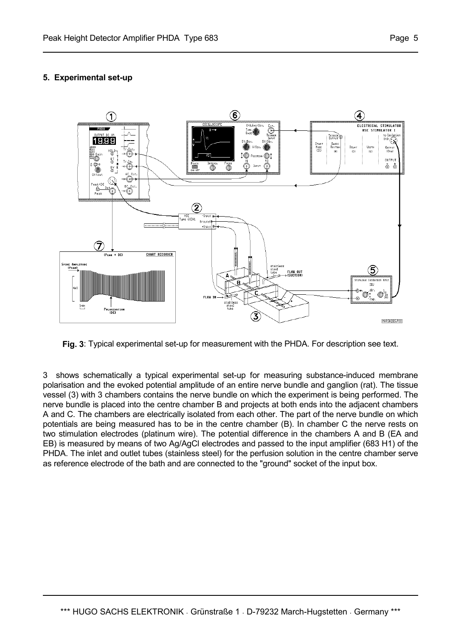# **5. Experimental set-up**



**Fig. 3**: Typical experimental set-up for measurement with the PHDA. For description see text.

3 shows schematically a typical experimental set-up for measuring substance-induced membrane polarisation and the evoked potential amplitude of an entire nerve bundle and ganglion (rat). The tissue vessel (3) with 3 chambers contains the nerve bundle on which the experiment is being performed. The nerve bundle is placed into the centre chamber B and projects at both ends into the adjacent chambers A and C. The chambers are electrically isolated from each other. The part of the nerve bundle on which potentials are being measured has to be in the centre chamber (B). In chamber C the nerve rests on two stimulation electrodes (platinum wire). The potential difference in the chambers A and B (EA and EB) is measured by means of two Ag/AgCl electrodes and passed to the input amplifier (683 H1) of the PHDA. The inlet and outlet tubes (stainless steel) for the perfusion solution in the centre chamber serve as reference electrode of the bath and are connected to the "ground" socket of the input box.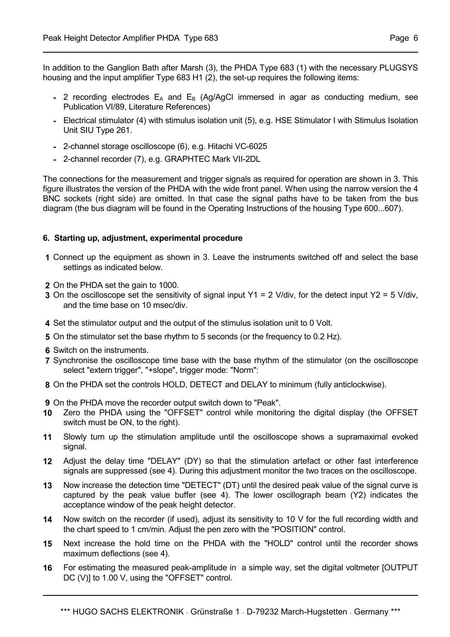In addition to the Ganglion Bath after Marsh (3), the PHDA Type 683 (1) with the necessary PLUGSYS housing and the input amplifier Type 683 H1 (2), the set-up requires the following items:

- **-** 2 recording electrodes  $E_A$  and  $E_B$  (Ag/AgCl immersed in agar as conducting medium, see Publication VI/89, Literature References)
- **-** Electrical stimulator (4) with stimulus isolation unit (5), e.g. HSE Stimulator I with Stimulus Isolation Unit SIU Type 261.
- **-** 2-channel storage oscilloscope (6), e.g. Hitachi VC-6025
- **-** 2-channel recorder (7), e.g. GRAPHTEC Mark VII-2DL

The connections for the measurement and trigger signals as required for operation are shown in 3. This figure illustrates the version of the PHDA with the wide front panel. When using the narrow version the 4 BNC sockets (right side) are omitted. In that case the signal paths have to be taken from the bus diagram (the bus diagram will be found in the Operating Instructions of the housing Type 600...607).

#### **6. Starting up, adjustment, experimental procedure**

- **1** Connect up the equipment as shown in 3. Leave the instruments switched off and select the base settings as indicated below.
- **2** On the PHDA set the gain to 1000.
- **3** On the oscilloscope set the sensitivity of signal input Y1 = 2 V/div, for the detect input Y2 = 5 V/div, and the time base on 10 msec/div.
- **4** Set the stimulator output and the output of the stimulus isolation unit to 0 Volt.
- **5** On the stimulator set the base rhythm to 5 seconds (or the frequency to 0.2 Hz).
- **6** Switch on the instruments.
- **7** Synchronise the oscilloscope time base with the base rhythm of the stimulator (on the oscilloscope select "extern trigger", "+slope", trigger mode: "Norm":
- **8** On the PHDA set the controls HOLD, DETECT and DELAY to minimum (fully anticlockwise).

 **9** On the PHDA move the recorder output switch down to "Peak".

- **10** Zero the PHDA using the "OFFSET" control while monitoring the digital display (the OFFSET switch must be ON, to the right).
- **11** Slowly turn up the stimulation amplitude until the oscilloscope shows a supramaximal evoked signal.
- **12** Adjust the delay time "DELAY" (DY) so that the stimulation artefact or other fast interference signals are suppressed (see 4). During this adjustment monitor the two traces on the oscilloscope.
- **13** Now increase the detection time "DETECT" (DT) until the desired peak value of the signal curve is captured by the peak value buffer (see 4). The lower oscillograph beam (Y2) indicates the acceptance window of the peak height detector.
- **14** Now switch on the recorder (if used), adjust its sensitivity to 10 V for the full recording width and the chart speed to 1 cm/min. Adjust the pen zero with the "POSITION" control.
- **15** Next increase the hold time on the PHDA with the "HOLD" control until the recorder shows maximum deflections (see 4).
- **16** For estimating the measured peak-amplitude in a simple way, set the digital voltmeter [OUTPUT DC (V)] to 1.00 V, using the "OFFSET" control.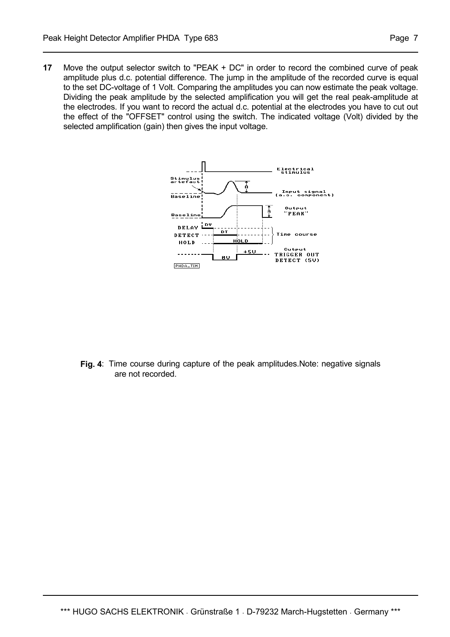**17** Move the output selector switch to "PEAK + DC" in order to record the combined curve of peak amplitude plus d.c. potential difference. The jump in the amplitude of the recorded curve is equal to the set DC-voltage of 1 Volt. Comparing the amplitudes you can now estimate the peak voltage. Dividing the peak amplitude by the selected amplification you will get the real peak-amplitude at the electrodes. If you want to record the actual d.c. potential at the electrodes you have to cut out the effect of the "OFFSET" control using the switch. The indicated voltage (Volt) divided by the selected amplification (gain) then gives the input voltage.



**Fig. 4**: Time course during capture of the peak amplitudes.Note: negative signals are not recorded.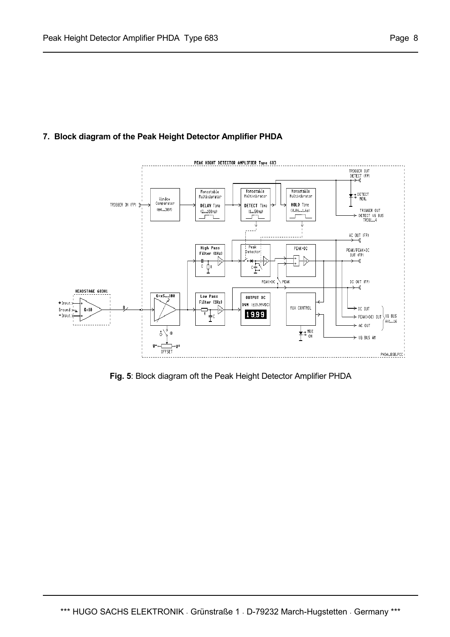# **7. Block diagram of the Peak Height Detector Amplifier PHDA**



**Fig. 5**: Block diagram oft the Peak Height Detector Amplifier PHDA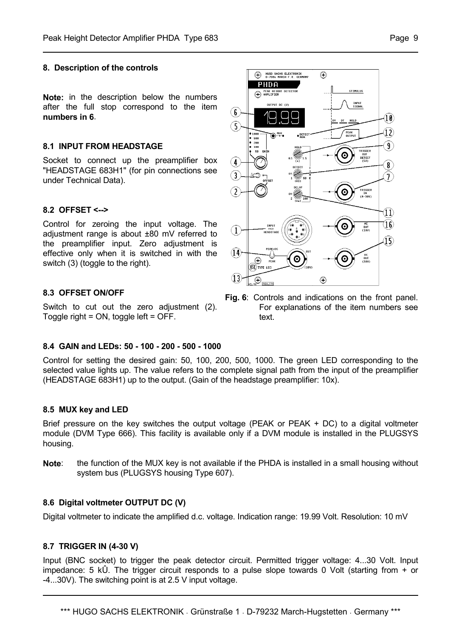#### **8. Description of the controls**

**Note:** in the description below the numbers after the full stop correspond to the item **numbers in 6**.

#### **8.1 INPUT FROM HEADSTAGE**

Socket to connect up the preamplifier box "HEADSTAGE 683H1" (for pin connections see under Technical Data).

#### **8.2 OFFSET <-->**

Control for zeroing the input voltage. The adjustment range is about ±80 mV referred to the preamplifier input. Zero adjustment is effective only when it is switched in with the switch (3) (toggle to the right).

#### **8.3 OFFSET ON/OFF**

Switch to cut out the zero adjustment (2). Toggle right = ON, toggle left = OFF.

#### **8.4 GAIN and LEDs: 50 - 100 - 200 - 500 - 1000**

Control for setting the desired gain: 50, 100, 200, 500, 1000. The green LED corresponding to the selected value lights up. The value refers to the complete signal path from the input of the preamplifier (HEADSTAGE 683H1) up to the output. (Gain of the headstage preamplifier: 10x).

#### **8.5 MUX key and LED**

Brief pressure on the key switches the output voltage (PEAK or PEAK + DC) to a digital voltmeter module (DVM Type 666). This facility is available only if a DVM module is installed in the PLUGSYS housing.

**Note**: the function of the MUX key is not available if the PHDA is installed in a small housing without system bus (PLUGSYS housing Type 607).

#### **8.6 Digital voltmeter OUTPUT DC (V)**

Digital voltmeter to indicate the amplified d.c. voltage. Indication range: 19.99 Volt. Resolution: 10 mV

#### **8.7 TRIGGER IN (4-30 V)**

Input (BNC socket) to trigger the peak detector circuit. Permitted trigger voltage: 4...30 Volt. Input impedance: 5 kÛ. The trigger circuit responds to a pulse slope towards 0 Volt (starting from + or -4...30V). The switching point is at 2.5 V input voltage.



**Fig. 6**: Controls and indications on the front panel. For explanations of the item numbers see text.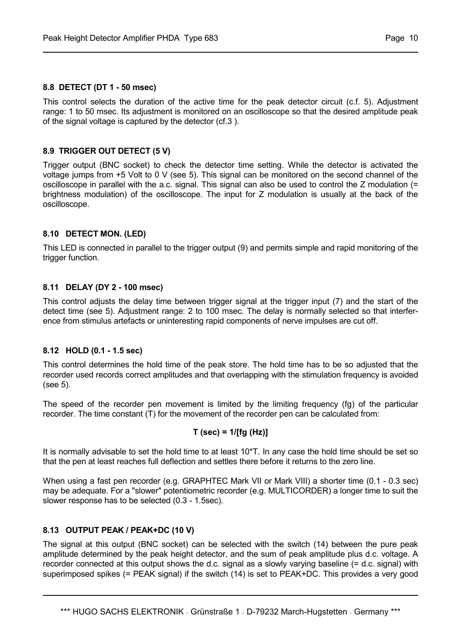#### **8.8 DETECT (DT 1 - 50 msec)**

This control selects the duration of the active time for the peak detector circuit (c.f. 5). Adjustment range: 1 to 50 msec. Its adjustment is monitored on an oscilloscope so that the desired amplitude peak of the signal voltage is captured by the detector (cf.3 ).

# **8.9 TRIGGER OUT DETECT (5 V)**

Trigger output (BNC socket) to check the detector time setting. While the detector is activated the voltage jumps from +5 Volt to 0 V (see 5). This signal can be monitored on the second channel of the oscilloscope in parallel with the a.c. signal. This signal can also be used to control the Z modulation (= brightness modulation) of the oscilloscope. The input for Z modulation is usually at the back of the oscilloscope.

#### **8.10 DETECT MON. (LED)**

This LED is connected in parallel to the trigger output (9) and permits simple and rapid monitoring of the trigger function.

# **8.11 DELAY (DY 2 - 100 msec)**

This control adjusts the delay time between trigger signal at the trigger input (7) and the start of the detect time (see 5). Adjustment range: 2 to 100 msec. The delay is normally selected so that interference from stimulus artefacts or uninteresting rapid components of nerve impulses are cut off.

#### **8.12 HOLD (0.1 - 1.5 sec)**

This control determines the hold time of the peak store. The hold time has to be so adjusted that the recorder used records correct amplitudes and that overlapping with the stimulation frequency is avoided (see 5).

The speed of the recorder pen movement is limited by the limiting frequency (fg) of the particular recorder. The time constant (T) for the movement of the recorder pen can be calculated from:

# **T (sec) = 1/[fg (Hz)]**

It is normally advisable to set the hold time to at least 10\*T. In any case the hold time should be set so that the pen at least reaches full deflection and settles there before it returns to the zero line.

When using a fast pen recorder (e.g. GRAPHTEC Mark VII or Mark VIII) a shorter time (0.1 - 0.3 sec) may be adequate. For a "slower" potentiometric recorder (e.g. MULTICORDER) a longer time to suit the slower response has to be selected (0.3 - 1.5sec).

# **8.13 OUTPUT PEAK / PEAK+DC (10 V)**

The signal at this output (BNC socket) can be selected with the switch (14) between the pure peak amplitude determined by the peak height detector, and the sum of peak amplitude plus d.c. voltage. A recorder connected at this output shows the d.c. signal as a slowly varying baseline (= d.c. signal) with superimposed spikes (= PEAK signal) if the switch (14) is set to PEAK+DC. This provides a very good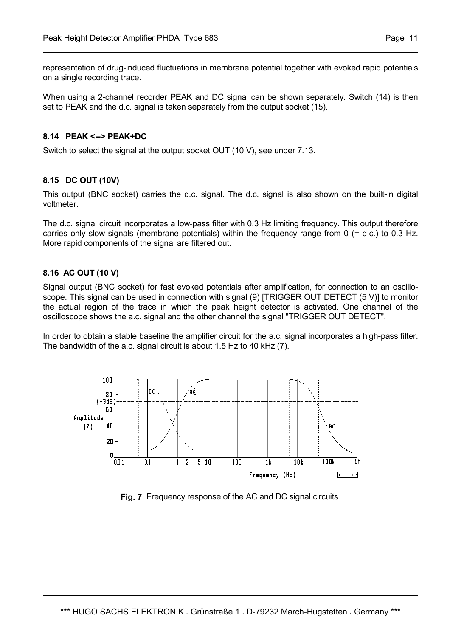representation of drug-induced fluctuations in membrane potential together with evoked rapid potentials on a single recording trace.

When using a 2-channel recorder PEAK and DC signal can be shown separately. Switch (14) is then set to PEAK and the d.c. signal is taken separately from the output socket (15).

#### **8.14 PEAK <--> PEAK+DC**

Switch to select the signal at the output socket OUT (10 V), see under 7.13.

# **8.15 DC OUT (10V)**

This output (BNC socket) carries the d.c. signal. The d.c. signal is also shown on the built-in digital voltmeter.

The d.c. signal circuit incorporates a low-pass filter with 0.3 Hz limiting frequency. This output therefore carries only slow signals (membrane potentials) within the frequency range from 0 (= d.c.) to 0.3 Hz. More rapid components of the signal are filtered out.

# **8.16 AC OUT (10 V)**

Signal output (BNC socket) for fast evoked potentials after amplification, for connection to an oscilloscope. This signal can be used in connection with signal (9) [TRIGGER OUT DETECT (5 V)] to monitor the actual region of the trace in which the peak height detector is activated. One channel of the oscilloscope shows the a.c. signal and the other channel the signal "TRIGGER OUT DETECT".

In order to obtain a stable baseline the amplifier circuit for the a.c. signal incorporates a high-pass filter. The bandwidth of the a.c. signal circuit is about 1.5 Hz to 40 kHz (7).



**Fig. 7**: Frequency response of the AC and DC signal circuits.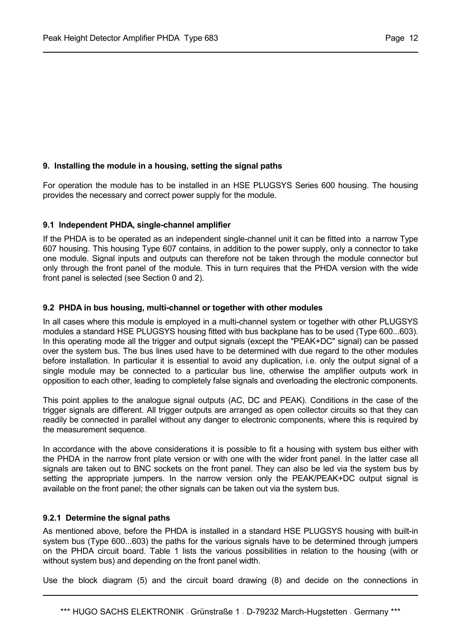# **9. Installing the module in a housing, setting the signal paths**

For operation the module has to be installed in an HSE PLUGSYS Series 600 housing. The housing provides the necessary and correct power supply for the module.

#### **9.1 Independent PHDA, single-channel amplifier**

If the PHDA is to be operated as an independent single-channel unit it can be fitted into a narrow Type 607 housing. This housing Type 607 contains, in addition to the power supply, only a connector to take one module. Signal inputs and outputs can therefore not be taken through the module connector but only through the front panel of the module. This in turn requires that the PHDA version with the wide front panel is selected (see Section 0 and 2).

#### **9.2 PHDA in bus housing, multi-channel or together with other modules**

In all cases where this module is employed in a multi-channel system or together with other PLUGSYS modules a standard HSE PLUGSYS housing fitted with bus backplane has to be used (Type 600...603). In this operating mode all the trigger and output signals (except the "PEAK+DC" signal) can be passed over the system bus. The bus lines used have to be determined with due regard to the other modules before installation. In particular it is essential to avoid any duplication, i.e. only the output signal of a single module may be connected to a particular bus line, otherwise the amplifier outputs work in opposition to each other, leading to completely false signals and overloading the electronic components.

This point applies to the analogue signal outputs (AC, DC and PEAK). Conditions in the case of the trigger signals are different. All trigger outputs are arranged as open collector circuits so that they can readily be connected in parallel without any danger to electronic components, where this is required by the measurement sequence.

In accordance with the above considerations it is possible to fit a housing with system bus either with the PHDA in the narrow front plate version or with one with the wider front panel. In the latter case all signals are taken out to BNC sockets on the front panel. They can also be led via the system bus by setting the appropriate jumpers. In the narrow version only the PEAK/PEAK+DC output signal is available on the front panel; the other signals can be taken out via the system bus.

#### **9.2.1 Determine the signal paths**

As mentioned above, before the PHDA is installed in a standard HSE PLUGSYS housing with built-in system bus (Type 600...603) the paths for the various signals have to be determined through jumpers on the PHDA circuit board. Table 1 lists the various possibilities in relation to the housing (with or without system bus) and depending on the front panel width.

Use the block diagram (5) and the circuit board drawing (8) and decide on the connections in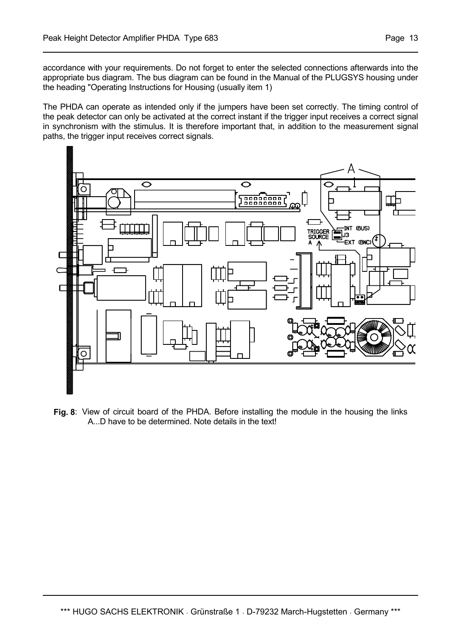accordance with your requirements. Do not forget to enter the selected connections afterwards into the appropriate bus diagram. The bus diagram can be found in the Manual of the PLUGSYS housing under the heading "Operating Instructions for Housing (usually item 1)

The PHDA can operate as intended only if the jumpers have been set correctly. The timing control of the peak detector can only be activated at the correct instant if the trigger input receives a correct signal in synchronism with the stimulus. It is therefore important that, in addition to the measurement signal paths, the trigger input receives correct signals.



**Fig. 8**: View of circuit board of the PHDA. Before installing the module in the housing the links A...D have to be determined. Note details in the text!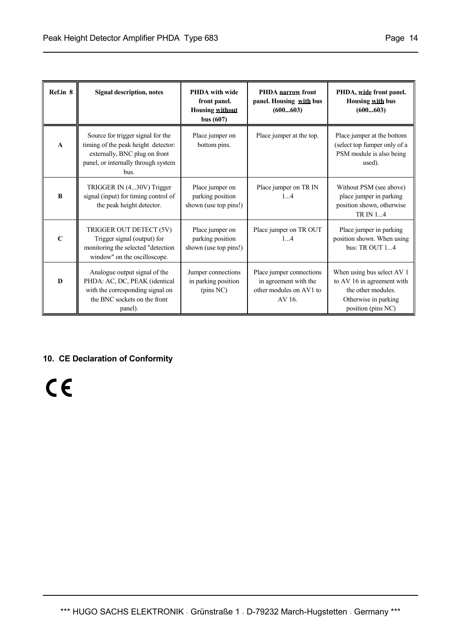| Ref.in 8     | <b>Signal description, notes</b>                                                                                                                         | <b>PHDA</b> with wide<br>front panel.<br><b>Housing without</b><br>bus $(607)$ | PHDA narrow front<br>panel. Housing with bus<br>(600603) | PHDA, wide front panel.<br>Housing with bus<br>(600603)                                          |
|--------------|----------------------------------------------------------------------------------------------------------------------------------------------------------|--------------------------------------------------------------------------------|----------------------------------------------------------|--------------------------------------------------------------------------------------------------|
| $\mathbf{A}$ | Source for trigger signal for the<br>timing of the peak height detector:<br>externally, BNC plug on front<br>panel, or internally through system<br>bus. | Place jumper on<br>bottom pins.                                                | Place jumper at the top.                                 | Place jumper at the bottom<br>(select top fumper only of a<br>PSM module is also being<br>used). |
| B            | TRIGGER IN (430V) Trigger<br>signal (input) for timing control of<br>the peak height detector.                                                           | Place jumper on<br>parking position<br>shown (use top pins!)                   | Place jumper on TR IN<br>14                              | Without PSM (see above)<br>place jumper in parking<br>position shown, otherwise<br>TR IN 14      |
| $\mathbf C$  | TRIGGER OUT DETECT (5V)<br>Trigger signal (output) for<br>monitoring the selected "detection<br>window" on the oscilloscope.                             | Place jumper on<br>parking position<br>shown (use top pins!)                   | Place jumper on TR OUT<br>14                             | Place jumper in parking<br>position shown. When using<br>bus: TR OUT $14$                        |

Place jumper connections in agreement with the other modules on AV1 to AV 16.

Jumper connections in parking position (pins NC)

**10. CE Declaration of Conformity**

Analogue output signal of the PHDA: AC, DC, PEAK (identical with the corresponding signal on the BNC sockets on the front panel).

 $C \in$ 

**D**

When using bus select AV 1 to AV 16 in agreement with the other modules. Otherwise in parking position (pins NC)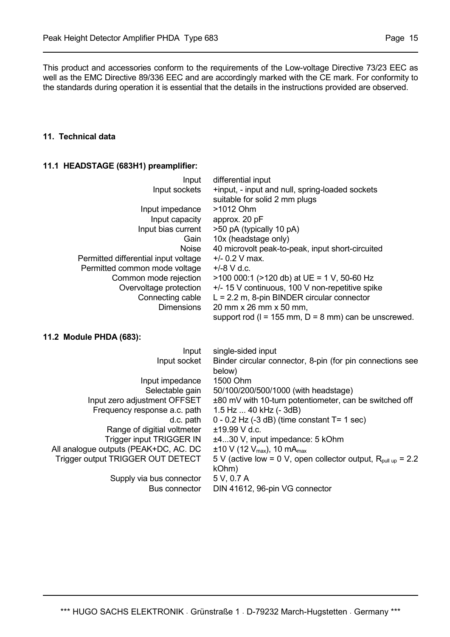This product and accessories conform to the requirements of the Low-voltage Directive 73/23 EEC as well as the EMC Directive 89/336 EEC and are accordingly marked with the CE mark. For conformity to the standards during operation it is essential that the details in the instructions provided are observed.

#### **11. Technical data**

#### **11.1 HEADSTAGE (683H1) preamplifier:**

| Input                                | differential input                                                               |
|--------------------------------------|----------------------------------------------------------------------------------|
| Input sockets                        | +input, - input and null, spring-loaded sockets<br>suitable for solid 2 mm plugs |
| Input impedance                      | >1012 Ohm                                                                        |
| Input capacity                       | approx. 20 pF                                                                    |
| Input bias current                   | >50 pA (typically 10 pA)                                                         |
| Gain                                 | 10x (headstage only)                                                             |
| <b>Noise</b>                         | 40 microvolt peak-to-peak, input short-circuited                                 |
| Permitted differential input voltage | $+/- 0.2$ V max.                                                                 |
| Permitted common mode voltage        | $+/-8$ V d.c.                                                                    |
| Common mode rejection                | $>$ 100 000:1 ( $>$ 120 db) at UE = 1 V, 50-60 Hz                                |
| Overvoltage protection               | +/- 15 V continuous, 100 V non-repetitive spike                                  |
| Connecting cable                     | $L = 2.2$ m, 8-pin BINDER circular connector                                     |
| <b>Dimensions</b>                    | 20 mm x 26 mm x 50 mm,                                                           |
|                                      | support rod ( $l = 155$ mm, $D = 8$ mm) can be unscrewed.                        |

#### **11.2 Module PHDA (683):**

| Input                                 | single-sided input                                                       |
|---------------------------------------|--------------------------------------------------------------------------|
| Input socket                          | Binder circular connector, 8-pin (for pin connections see<br>below)      |
| Input impedance                       | 1500 Ohm                                                                 |
| Selectable gain                       | 50/100/200/500/1000 (with headstage)                                     |
| Input zero adjustment OFFSET          | ±80 mV with 10-turn potentiometer, can be switched off                   |
| Frequency response a.c. path          | 1.5 Hz  40 kHz (- 3dB)                                                   |
| d.c. path                             | $0 - 0.2$ Hz (-3 dB) (time constant T= 1 sec)                            |
| Range of digitial voltmeter           | $±19.99$ V d.c.                                                          |
| Trigger input TRIGGER IN              | ±430 V, input impedance: 5 kOhm                                          |
| All analogue outputs (PEAK+DC, AC. DC | $\pm$ 10 V (12 V <sub>max</sub> ), 10 mA <sub>max</sub>                  |
| Trigger output TRIGGER OUT DETECT     | 5 V (active low = 0 V, open collector output, $R_{\text{null up}} = 2.2$ |
|                                       | kOhm)                                                                    |
| Supply via bus connector              | 5 V, 0.7 A                                                               |
| Bus connector                         | DIN 41612, 96-pin VG connector                                           |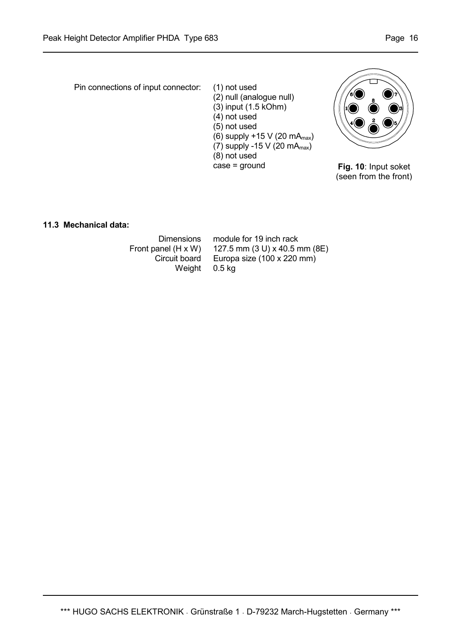Pin connections of input connector: (1) not used (2) null (analogue null) (3) input (1.5 kOhm) (4) not used (5) not used (6) supply  $+15$  V (20 mA $_{max}$ ) (7) supply -15 V (20 mA $_{max}$ ) (8) not used case = ground



**Fig. 10**: Input soket (seen from the front)

**11.3 Mechanical data:** 

 Dimensions module for 19 inch rack Front panel (H x W) 127.5 mm (3 U) x 40.5 mm (8E) Circuit board Europa size (100 x 220 mm) Weight 0.5 kg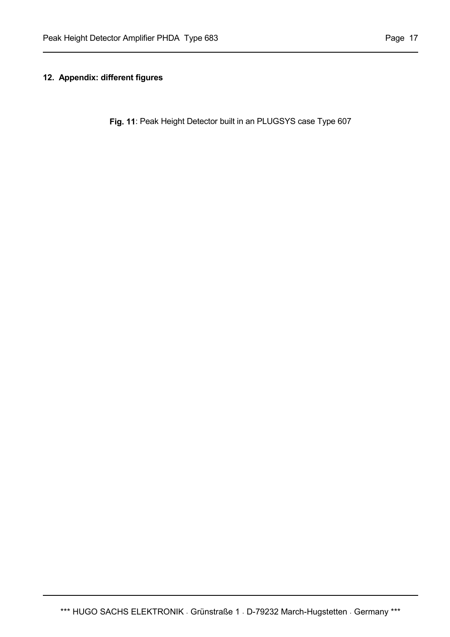# **12. Appendix: different figures**

**Fig. 11**: Peak Height Detector built in an PLUGSYS case Type 607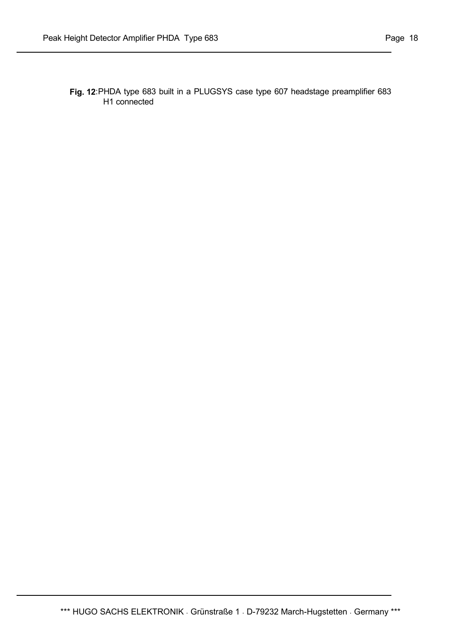**Fig. 12**: PHDA type 683 built in a PLUGSYS case type 607 headstage preamplifier 683

H1 connected